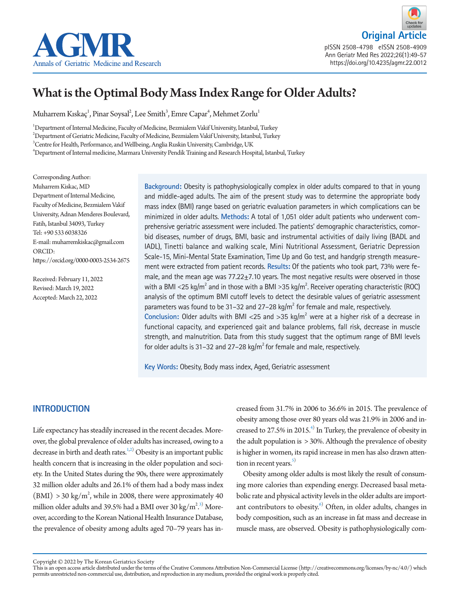



pISSN 2508-4798 eISSN 2508-4909 Ann Geriatr Med Res 2022;26(1):49-57 https://doi.org/10.4235/agmr.22.0012

# What is the Optimal Body Mass Index Range for Older Adults?

Muharrem Kıskaç $^{\rm l}$ , Pinar Soysal $^{\rm l}$ , Lee Smith $^{\rm 3}$ , Emre Capar $^{\rm t}$ , Mehmet Zorlu $^{\rm l}$ 

1 Department of Internal Medicine, Faculty of Medicine, Bezmialem Vakif University, Istanbul, Turkey  $^2$ Department of Geriatric Medicine, Faculty of Medicine, Bezmialem Vakif University, Istanbul, Turkey  $^3$ Centre for Health, Performance, and Wellbeing, Anglia Ruskin University, Cambridge, UK 4 Department of Internal medicine, Marmara University Pendik Training and Research Hospital, Istanbul, Turkey

Corresponding Author: Muharrem Kiskac, MD Department of Internal Medicine, Faculty of Medicine, Bezmialem Vakif University, Adnan Menderes Boulevard, Fatih, Istanbul 34093, Turkey Tel: +90 533 6038326 E-mail: muharremkiskac@gmail.com ORCID: https://orcid.org/0000-0003-2534-2675

Received: February 11, 2022 Revised: March 19, 2022 Accepted: March 22, 2022

**Background:** Obesity is pathophysiologically complex in older adults compared to that in young and middle-aged adults. The aim of the present study was to determine the appropriate body mass index (BMI) range based on geriatric evaluation parameters in which complications can be minimized in older adults. **Methods:** A total of 1,051 older adult patients who underwent comprehensive geriatric assessment were included. The patients' demographic characteristics, comorbid diseases, number of drugs, BMI, basic and instrumental activities of daily living (BADL and IADL), Tinetti balance and walking scale, Mini Nutritional Assessment, Geriatric Depression Scale-15, Mini-Mental State Examination, Time Up and Go test, and handgrip strength measurement were extracted from patient records. **Results:** Of the patients who took part, 73% were female, and the mean age was  $77.22 \pm 7.10$  years. The most negative results were observed in those with a BMI <25 kg/m<sup>2</sup> and in those with a BMI >35 kg/m<sup>2</sup>. Receiver operating characteristic (ROC) analysis of the optimum BMI cutoff levels to detect the desirable values of geriatric assessment parameters was found to be 31-32 and 27-28  $\text{kg/m}^2$  for female and male, respectively. Conclusion: Older adults with BMI <25 and >35 kg/m<sup>2</sup> were at a higher risk of a decrease in functional capacity, and experienced gait and balance problems, fall risk, decrease in muscle strength, and malnutrition. Data from this study suggest that the optimum range of BMI levels for older adults is 31–32 and 27–28 kg/m<sup>2</sup> for female and male, respectively.

**Key Words:** Obesity, Body mass index, Aged, Geriatric assessment

# **INTRODUCTION**

Life expectancy has steadily increased in the recent decades. Moreover, the global prevalence of older adults has increased, owing to a decrease in birth and death rates.<sup>1[,2\)](#page-7-0)</sup> Obesity is an important public health concern that is increasing in the older population and society. In the United States during the 90s, there were approximately 32 million older adults and 26.1% of them had a body mass index  $(BMI) > 30 \text{ kg/m}^2$ , while in 2008, there were approximately 40 million older adults and 39.5% had a BMI over 30 kg/m $^{2,3)}$  $^{2,3)}$  $^{2,3)}$  Moreover, according to the Korean National Health Insurance Database, the prevalence of obesity among adults aged 70–79 years has in-

creased from 31.7% in 2006 to 36.6% in 2015. The prevalence of obesity among those over 80 years old was 21.9% in 2006 and increased to 27.5% in 2015.<sup>4)</sup> In Turkey, the prevalence of obesity in the adult population is > 30%. Although the prevalence of obesity is higher in women, its rapid increase in men has also drawn attention in recent years. $5)$ 

Obesity among older adults is most likely the result of consuming more calories than expending energy. Decreased basal metabolic rate and physical activity levels in the older adults are important contributors to obesity. $6^{\circ}$  Often, in older adults, changes in body composition, such as an increase in fat mass and decrease in muscle mass, are observed. Obesity is pathophysiologically com-

Copyright © 2022 by The Korean Geriatrics Society<br>This is an open access article distributed under the terms of the Creative Commons Attribution Non-Commercial License (http://creativecommons.org/licenses/by-nc/4.0/) which permits unrestricted non-commercial use, distribution, and reproduction in any medium, provided the original work is properly cited.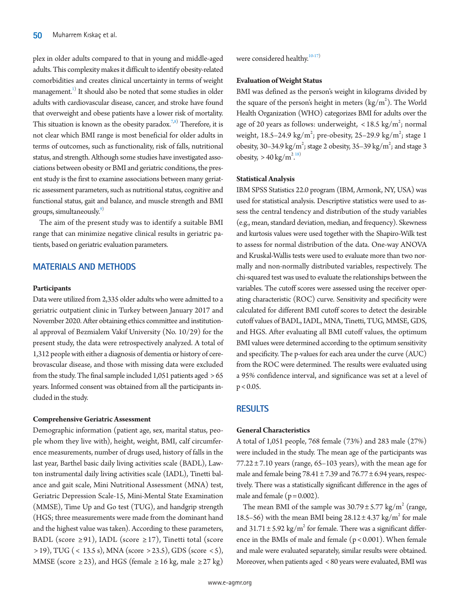plex in older adults compared to that in young and middle-aged adults. This complexity makes it difficult to identify obesity-related comorbidities and creates clinical uncertainty in terms of weight management.<sup>1)</sup> It should also be noted that some studies in older adults with cardiovascular disease, cancer, and stroke have found that overweight and obese patients have a lower risk of mortality. This situation is known as the obesity paradox.<sup>7[,8](#page-7-3))</sup> Therefore, it is not clear which BMI range is most beneficial for older adults in terms of outcomes, such as functionality, risk of falls, nutritional status, and strength. Although some studies have investigated associations between obesity or BMI and geriatric conditions, the present study is the first to examine associations between many geriatric assessment parameters, such as nutritional status, cognitive and functional status, gait and balance, and muscle strength and BMI groups, simultaneously.<sup>9)</sup>

The aim of the present study was to identify a suitable BMI range that can minimize negative clinical results in geriatric patients, based on geriatric evaluation parameters.

## **MATERIALS AND METHODS**

#### **Participants**

Data were utilized from 2,335 older adults who were admitted to a geriatric outpatient clinic in Turkey between January 2017 and November 2020. After obtaining ethics committee and institutional approval of Bezmialem Vakif University (No. 10/29) for the present study, the data were retrospectively analyzed. A total of 1,312 people with either a diagnosis of dementia or history of cerebrovascular disease, and those with missing data were excluded from the study. The final sample included  $1,051$  patients aged  $> 65$ years. Informed consent was obtained from all the participants included in the study.

#### **Comprehensive Geriatric Assessment**

Demographic information (patient age, sex, marital status, people whom they live with), height, weight, BMI, calf circumference measurements, number of drugs used, history of falls in the last year, Barthel basic daily living activities scale (BADL), Lawton instrumental daily living activities scale (IADL), Tinetti balance and gait scale, Mini Nutritional Assessment (MNA) test, Geriatric Depression Scale-15, Mini-Mental State Examination (MMSE), Time Up and Go test (TUG), and handgrip strength (HGS; three measurements were made from the dominant hand and the highest value was taken). According to these parameters, BADL (score  $\geq$ 91), IADL (score  $\geq$ 17), Tinetti total (score > 19), TUG ( < 13.5 s), MNA (score > 23.5), GDS (score < 5), MMSE (score  $\geq$  23), and HGS (female  $\geq$  16 kg, male  $\geq$  27 kg) were considered healthy.<sup>[10](#page-7-7)[-17\)](#page-7-8)</sup>

## **Evaluation of Weight Status**

BMI was defined as the person's weight in kilograms divided by the square of the person's height in meters  $\left({\rm kg/m}^2\right)$ . The World Health Organization (WHO) categorizes BMI for adults over the age of 20 years as follows: underweight,  $<$  18.5 kg/m<sup>2</sup>; normal weight, 18.5–24.9 kg/m<sup>2</sup>; pre-obesity, 25–29.9 kg/m<sup>2</sup>; stage 1 obesity, 30–34.9 kg/m<sup>2</sup>; stage 2 obesity, 35–39 kg/m<sup>2</sup>; and stage 3 obesity,  $> 40 \text{ kg/m}^2$ .<sup>[18\)](#page-7-9)</sup>

#### **Statistical Analysis**

IBM SPSS Statistics 22.0 program (IBM, Armonk, NY, USA) was used for statistical analysis. Descriptive statistics were used to assess the central tendency and distribution of the study variables (e.g., mean, standard deviation, median, and frequency). Skewness and kurtosis values were used together with the Shapiro-Wilk test to assess for normal distribution of the data. One-way ANOVA and Kruskal-Wallis tests were used to evaluate more than two normally and non-normally distributed variables, respectively. The chi-squared test was used to evaluate the relationships between the variables. The cutoff scores were assessed using the receiver operating characteristic (ROC) curve. Sensitivity and specificity were calculated for different BMI cutoff scores to detect the desirable cutoff values of BADL, IADL, MNA, Tinetti, TUG, MMSE, GDS, and HGS. After evaluating all BMI cutoff values, the optimum BMI values were determined according to the optimum sensitivity and specificity. The p-values for each area under the curve (AUC) from the ROC were determined. The results were evaluated using a 95% confidence interval, and significance was set at a level of  $p < 0.05$ .

# **RESULTS**

## **General Characteristics**

A total of 1,051 people, 768 female (73%) and 283 male (27%) were included in the study. The mean age of the participants was  $77.22 \pm 7.10$  years (range, 65–103 years), with the mean age for male and female being  $78.41 \pm 7.39$  and  $76.77 \pm 6.94$  years, respectively. There was a statistically significant difference in the ages of male and female ( $p = 0.002$ ).

The mean BMI of the sample was  $30.79 \pm 5.77$  kg/m<sup>2</sup> (range, 18.5–56) with the mean BMI being  $28.12 \pm 4.37$  kg/m<sup>2</sup> for male and  $31.71 \pm 5.92$  kg/m<sup>2</sup> for female. There was a significant difference in the BMIs of male and female  $(p < 0.001)$ . When female and male were evaluated separately, similar results were obtained. Moreover, when patients aged < 80 years were evaluated, BMI was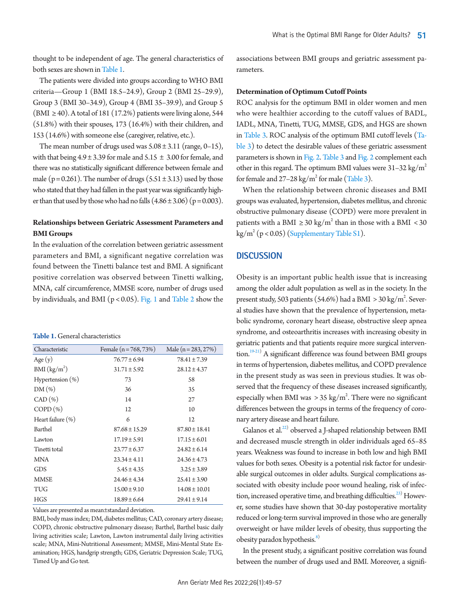thought to be independent of age. The general characteristics of both sexes are shown in Table 1.

The patients were divided into groups according to WHO BMI criteria—Group 1 (BMI 18.5–24.9), Group 2 (BMI 25–29.9), Group 3 (BMI 30–34.9), Group 4 (BMI 35–39.9), and Group 5 (BMI  $\geq$  40). A total of 181 (17.2%) patients were living alone, 544 (51.8%) with their spouses, 173 (16.4%) with their children, and 153 (14.6%) with someone else (caregiver, relative, etc.).

The mean number of drugs used was  $5.08 \pm 3.11$  (range, 0–15), with that being  $4.9 \pm 3.39$  for male and  $5.15 \pm 3.00$  for female, and there was no statistically significant difference between female and male ( $p = 0.261$ ). The number of drugs ( $5.51 \pm 3.13$ ) used by those who stated that they had fallen in the past year was significantly higher than that used by those who had no falls  $(4.86 \pm 3.06)$  ( $p = 0.003$ ).

# **Relationships between Geriatric Assessment Parameters and BMI Groups**

In the evaluation of the correlation between geriatric assessment parameters and BMI, a significant negative correlation was found between the Tinetti balance test and BMI. A significant positive correlation was observed between Tinetti walking, MNA, calf circumference, MMSE score, number of drugs used by individuals, and BMI (p < 0.05). [Fig. 1](#page-3-0) and [Table 2](#page-4-0) show the

<span id="page-2-0"></span>

| <b>Table 1.</b> General characteristics |
|-----------------------------------------|
|-----------------------------------------|

| Characteristic           | Female $(n = 768, 73%)$ | Male $(n = 283, 27%)$ |
|--------------------------|-------------------------|-----------------------|
| Age(y)                   | $76.77 \pm 6.94$        | $78.41 \pm 7.39$      |
| BMI (kg/m <sup>2</sup> ) | $31.71 \pm 5.92$        | $28.12 \pm 4.37$      |
| Hypertension $(\%)$      | 73                      | 58                    |
| $DM(\%)$                 | 36                      | 35                    |
| CAD (%)                  | 14                      | 27                    |
| $COPD(\%)$               | 12                      | 10                    |
| Heart failure (%)        | 6                       | 12                    |
| Barthel                  | $87.68 \pm 15.29$       | $87.80 \pm 18.41$     |
| Lawton                   | $17.19 \pm 5.91$        | $17.15 \pm 6.01$      |
| Tinetti total            | $23.77 \pm 6.37$        | $24.82 \pm 6.14$      |
| <b>MNA</b>               | $23.34 \pm 4.11$        | $24.36 \pm 4.73$      |
| GDS                      | $5.45 \pm 4.35$         | $3.25 \pm 3.89$       |
| <b>MMSE</b>              | $24.46 \pm 4.34$        | $25.41 \pm 3.90$      |
| <b>TUG</b>               | $15.00 \pm 9.10$        | $14.08 \pm 10.01$     |
| <b>HGS</b>               | $18.89 \pm 6.64$        | $29.41 \pm 9.14$      |

Values are presented as mean±standard deviation.

BMI, body mass index; DM, diabetes mellitus; CAD, coronary artery disease; COPD, chronic obstructive pulmonary disease; Barthel, Barthel basic daily living activities scale; Lawton, Lawton instrumental daily living activities scale; MNA, Mini-Nutritional Assessment; MMSE, Mini-Mental State Examination; HGS, handgrip strength; GDS, Geriatric Depression Scale; TUG, Timed Up and Go test.

associations between BMI groups and geriatric assessment parameters.

## **Determination of Optimum Cutoff Points**

ROC analysis for the optimum BMI in older women and men who were healthier according to the cutoff values of BADL, IADL, MNA, Tinetti, TUG, MMSE, GDS, and HGS are shown in [Table 3](#page-4-1). ROC analysis of the optimum BMI cutoff levels [\(Ta](#page-4-1)[ble 3](#page-4-1)) to detect the desirable values of these geriatric assessment parameters is shown in [Fig. 2.](#page-5-0) [Table 3](#page-4-1) and [Fig. 2](#page-5-0) complement each other in this regard. The optimum BMI values were  $31-32$  kg/m<sup>2</sup> for female and  $27-28$  kg/m<sup>2</sup> for male [\(Table 3](#page-4-1)).

When the relationship between chronic diseases and BMI groups was evaluated, hypertension, diabetes mellitus, and chronic obstructive pulmonary disease (COPD) were more prevalent in patients with a BMI  $\geq$  30 kg/m<sup>2</sup> than in those with a BMI < 30  $\text{kg/m}^2 \left( \text{p} < 0.05 \right)$  ([Supplementary Table S1\)](#page-6-1).

# **DISCUSSION**

Obesity is an important public health issue that is increasing among the older adult population as well as in the society. In the present study, 503 patients (54.6%) had a BMI  $>$  30 kg/m<sup>2</sup>. Several studies have shown that the prevalence of hypertension, metabolic syndrome, coronary heart disease, obstructive sleep apnea syndrome, and osteoarthritis increases with increasing obesity in geriatric patients and that patients require more surgical interven-tion.<sup>19[-21](#page-7-11)</sup>) A significant difference was found between BMI groups in terms of hypertension, diabetes mellitus, and COPD prevalence in the present study as was seen in previous studies. It was observed that the frequency of these diseases increased significantly, especially when BMI was  $> 35 \text{ kg/m}^2$ . There were no significant differences between the groups in terms of the frequency of coronary artery disease and heart failure.

Galanos et al.<sup>[22](#page-7-12))</sup> observed a J-shaped relationship between BMI and decreased muscle strength in older individuals aged 65–85 years. Weakness was found to increase in both low and high BMI values for both sexes. Obesity is a potential risk factor for undesirable surgical outcomes in older adults. Surgical complications associated with obesity include poor wound healing, risk of infection, increased operative time, and breathing difficulties.<sup>23)</sup> However, some studies have shown that 30-day postoperative mortality reduced or long-term survival improved in those who are generally overweight or have milder levels of obesity, thus supporting the obesity paradox hypothesis. $\frac{8}{3}$ 

In the present study, a significant positive correlation was found between the number of drugs used and BMI. Moreover, a signifi-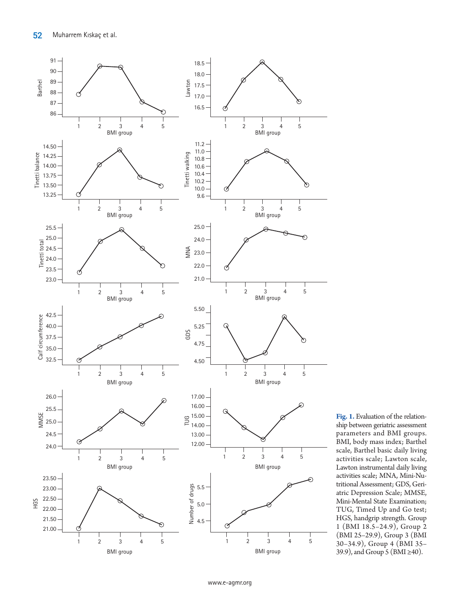<span id="page-3-0"></span>

**Fig. 1.** Evaluation of the relationship between geriatric assessment parameters and BMI groups. BMI, body mass index; Barthel scale, Barthel basic daily living activities scale; Lawton scale, Lawton instrumental daily living activities scale; MNA, Mini-Nutritional Assessment; GDS, Geriatric Depression Scale; MMSE, Mini-Mental State Examination; TUG, Timed Up and Go test; HGS, handgrip strength. Group 1 (BMI 18.5–24.9), Group 2 (BMI 25–29.9), Group 3 (BMI 30–34.9), Group 4 (BMI 35– 39.9), and Group 5 (BMI ≥40).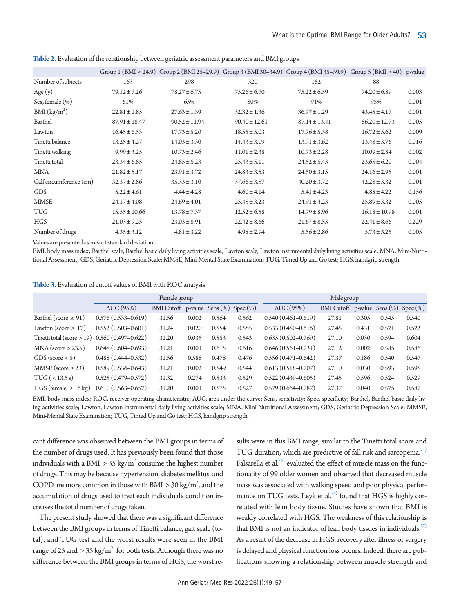|                          |                   |                   |                                      | Group 1 (BMI < 24.9) Group 2 (BMI 25-29.9) Group 3 (BMI 30-34.9) Group 4 (BMI 35-39.9) Group 5 (BMI > 40) p-value |                   |       |
|--------------------------|-------------------|-------------------|--------------------------------------|-------------------------------------------------------------------------------------------------------------------|-------------------|-------|
| Number of subjects       | 163               | 298               | 320                                  | 182                                                                                                               | 88                |       |
| Age(y)                   | $79.12 \pm 7.26$  | $78.27 \pm 6.75$  | $75.26 \pm 6.70$                     | $75.22 \pm 6.59$                                                                                                  | $74.20 \pm 6.89$  | 0.003 |
| Sex, female $(\%)$       | 61%               | 65%               | 80%                                  | 91%                                                                                                               | 95%               | 0.001 |
| BMI (kg/m <sup>2</sup> ) | $22.81 \pm 1.85$  | $27.63 \pm 1.39$  | $36.77 \pm 1.29$<br>$32.32 \pm 1.36$ |                                                                                                                   | $43.45 \pm 4.17$  | 0.001 |
| Barthel                  | $87.91 \pm 18.47$ | $90.52 \pm 11.94$ | $90.40 \pm 12.61$                    | $87.14 \pm 13.41$                                                                                                 | $86.20 \pm 12.73$ | 0.005 |
| Lawton                   | $16.45 \pm 6.53$  | $17.73 \pm 5.20$  | $18.55 \pm 5.03$                     | $17.76 \pm 5.38$                                                                                                  | $16.72 \pm 5.62$  | 0.009 |
| Tinetti balance          | $13.25 \pm 4.27$  | $14.03 \pm 3.30$  | $14.43 \pm 3.09$                     | $13.71 \pm 3.62$                                                                                                  | $13.48 \pm 3.76$  | 0.016 |
| Tinetti walking          | $9.99 \pm 3.25$   | $10.73 \pm 2.46$  | $11.01 \pm 2.38$                     | $10.73 \pm 2.28$                                                                                                  | $10.09 \pm 2.84$  | 0.002 |
| Tinetti total            | $23.34 \pm 6.85$  | $24.85 \pm 5.23$  | $25.43 \pm 5.11$                     | $24.52 \pm 5.43$                                                                                                  | $23.65 \pm 6.20$  | 0.004 |
| <b>MNA</b>               | $21.82 \pm 5.17$  | $23.91 \pm 3.72$  | $24.83 \pm 3.53$                     | $24.50 \pm 3.15$                                                                                                  | $24.16 \pm 2.95$  | 0.001 |
| Calf circumference (cm)  | $32.37 \pm 2.86$  | $35.33 \pm 3.10$  | $37.66 \pm 3.57$                     | $40.20 \pm 3.72$                                                                                                  | $42.28 \pm 3.32$  | 0.001 |
| <b>GDS</b>               | $5.22 \pm 4.61$   | $4.44 \pm 4.28$   | $4.60 \pm 4.14$                      | $5.41 \pm 4.23$                                                                                                   | $4.88 \pm 4.22$   | 0.156 |
| <b>MMSE</b>              | $24.17 \pm 4.08$  | $24.69 \pm 4.01$  | $25.45 \pm 3.23$                     | $24.91 \pm 4.23$                                                                                                  | $25.89 \pm 3.32$  | 0.005 |
| <b>TUG</b>               | $15.55 \pm 10.66$ | $13.78 \pm 7.37$  | $12.52 \pm 6.58$                     | $14.79 \pm 8.96$                                                                                                  | $16.18 \pm 10.98$ | 0.001 |
| <b>HGS</b>               | $21.03 \pm 9.25$  | $23.03 \pm 8.91$  | $22.42 \pm 8.66$                     | $21.67 \pm 8.53$                                                                                                  | $22.41 \pm 8.66$  | 0.229 |
| Number of drugs          | $4.35 \pm 3.12$   | $4.81 \pm 3.22$   | $4.98 \pm 2.94$                      | $5.56 \pm 2.86$                                                                                                   | $5.73 \pm 3.25$   | 0.005 |
|                          |                   |                   |                                      |                                                                                                                   |                   |       |

<span id="page-4-0"></span>**Table 2.** Evaluation of the relationship between geriatric assessment parameters and BMI groups

Values are presented as mean±standard deviation.

BMI, body mass index; Barthel scale, Barthel basic daily living activities scale; Lawton scale, Lawton instrumental daily living activities scale; MNA, Mini-Nutritional Assessment; GDS, Geriatric Depression Scale; MMSE, Mini-Mental State Examination; TUG, Timed Up and Go test; HGS, handgrip strength.

<span id="page-4-1"></span>

|  |  |  |  | <b>Table 3.</b> Evaluation of cutoff values of BMI with ROC analysis |  |  |  |
|--|--|--|--|----------------------------------------------------------------------|--|--|--|
|--|--|--|--|----------------------------------------------------------------------|--|--|--|

|                                                 | Female group           |                   |       |                                 | Male group |                        |                                |       |       |             |
|-------------------------------------------------|------------------------|-------------------|-------|---------------------------------|------------|------------------------|--------------------------------|-------|-------|-------------|
|                                                 | AUC (95%)              | <b>BMI</b> Cutoff |       | p-value Sens $(\%)$ Spec $(\%)$ |            | AUC (95%)              | BMI Cutoff p-value Sens $(\%)$ |       |       | $Spec (\%)$ |
| Barthel (score $\geq 91$ )                      | $0.576(0.533 - 0.619)$ | 31.56             | 0.002 | 0.564                           | 0.562      | $0.540(0.461 - 0.619)$ | 27.81                          | 0.305 | 0.545 | 0.540       |
| Lawton (score $\geq$ 17)                        | $0.552(0.503 - 0.601)$ | 31.24             | 0.020 | 0.554                           | 0.555      | $0.533(0.450 - 0.616)$ | 27.45                          | 0.431 | 0.521 | 0.522       |
| Tinetti total (score > 19) $0.560(0.497-0.622)$ |                        | 31.20             | 0.035 | 0.553                           | 0.543      | $0.635(0.502 - 0.769)$ | 27.10                          | 0.030 | 0.594 | 0.604       |
| $MNA$ (score > 23.5)                            | $0.648(0.604 - 0.693)$ | 31.21             | 0.001 | 0.615                           | 0.616      | $0.646(0.561 - 0.731)$ | 27.12                          | 0.002 | 0.585 | 0.586       |
| GDS (score $\lt 5$ )                            | $0.488(0.444 - 0.532)$ | 31.56             | 0.588 | 0.478                           | 0.476      | $0.556(0.471 - 0.642)$ | 27.37                          | 0.186 | 0.540 | 0.547       |
| MMSE (score $\geq$ 23)                          | $0.589(0.536 - 0.643)$ | 31.21             | 0.002 | 0.549                           | 0.544      | $0.613(0.518 - 0.707)$ | 27.10                          | 0.030 | 0.593 | 0.595       |
| TUG ( < 13.5 s)                                 | $0.525(0.479 - 0.572)$ | 31.32             | 0.274 | 0.533                           | 0.529      | $0.522(0.439 - 0.605)$ | 27.45                          | 0.596 | 0.524 | 0.529       |
| HGS (female, $\geq 16 \text{ kg}$ )             | $0.610(0.563 - 0.657)$ | 31.20             | 0.001 | 0.575                           | 0.527      | $0.579(0.664 - 0.787)$ | 27.37                          | 0.040 | 0.575 | 0.587       |

BMI, body mass index; ROC, receiver operating characteristic; AUC, area under the curve; Sens, sensitivity; Spec, specificity; Barthel, Barthel basic daily living activities scale; Lawton, Lawton instrumental daily living activities scale; MNA, Mini-Nutritional Assessment; GDS, Geriatric Depression Scale; MMSE, Mini-Mental State Examination; TUG, Timed Up and Go test; HGS, handgrip strength.

cant difference was observed between the BMI groups in terms of the number of drugs used. It has previously been found that those individuals with a BMI  $>$  35 kg/m<sup>2</sup> consume the highest number of drugs. This may be because hypertension, diabetes mellitus, and COPD are more common in those with BMI  $>$  30 kg/m<sup>2</sup>, and the accumulation of drugs used to treat each individual's condition increases the total number of drugs taken.

The present study showed that there was a significant difference between the BMI groups in terms of Tinetti balance, gait scale (total), and TUG test and the worst results were seen in the BMI range of 25 and  $>$  35 kg/m<sup>2</sup>, for both tests. Although there was no difference between the BMI groups in terms of HGS, the worst results were in this BMI range, similar to the Tinetti total score and TUG duration, which are predictive of fall risk and sarcopenia.<sup>[24](#page-7-14))</sup> Falsarella et al. $^{25)}$  $^{25)}$  $^{25)}$  evaluated the effect of muscle mass on the functionality of 99 older women and observed that decreased muscle mass was associated with walking speed and poor physical performance on TUG tests. Leyk et al. $^{26)}$  found that HGS is highly correlated with lean body tissue. Studies have shown that BMI is weakly correlated with HGS. The weakness of this relationship is that BMI is not an indicator of lean body tissues in individuals. $^{27}$  $^{27}$  $^{27}$ As a result of the decrease in HGS, recovery after illness or surgery is delayed and physical function loss occurs. Indeed, there are publications showing a relationship between muscle strength and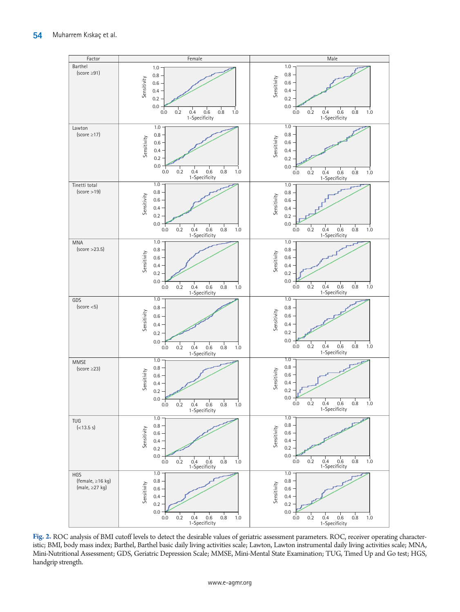<span id="page-5-0"></span>

**Fig. 2.** ROC analysis of BMI cutoff levels to detect the desirable values of geriatric assessment parameters. ROC, receiver operating characteristic; BMI, body mass index; Barthel, Barthel basic daily living activities scale; Lawton, Lawton instrumental daily living activities scale; MNA, Mini-Nutritional Assessment; GDS, Geriatric Depression Scale; MMSE, Mini-Mental State Examination; TUG, Timed Up and Go test; HGS, handgrip strength.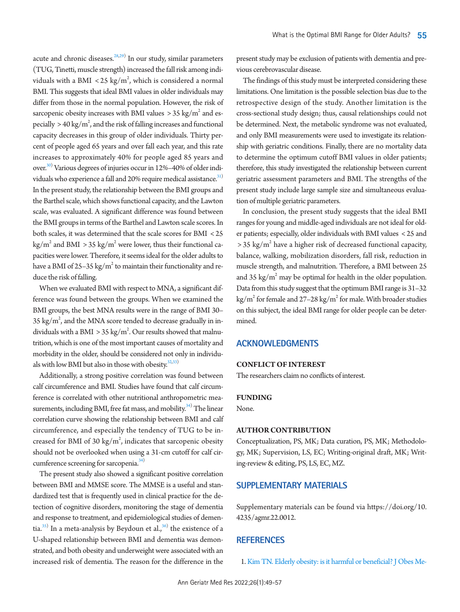acute and chronic diseases.<sup>[28](#page-7-18),[29](#page-7-19))</sup> In our study, similar parameters (TUG, Tinetti, muscle strength) increased the fall risk among individuals with a BMI  $\langle 25 \text{ kg/m}^2$ , which is considered a normal BMI. This suggests that ideal BMI values in older individuals may differ from those in the normal population. However, the risk of sarcopenic obesity increases with BMI values  $>35$  kg/m $^2$  and especially  $> 40 \text{ kg/m}^2$ , and the risk of falling increases and functional capacity decreases in this group of older individuals. Thirty percent of people aged 65 years and over fall each year, and this rate increases to approximately 40% for people aged 85 years and over.<sup>30)</sup> Various degrees of injuries occur in 12%–40% of older individuals who experience a fall and 20% require medical assistance.<sup>31)</sup> In the present study, the relationship between the BMI groups and the Barthel scale, which shows functional capacity, and the Lawton scale, was evaluated. A significant difference was found between the BMI groups in terms of the Barthel and Lawton scale scores. In both scales, it was determined that the scale scores for BMI < 25 kg/m $^2$  and BMI  $>$  35 kg/m $^2$  were lower, thus their functional capacities were lower. Therefore, it seems ideal for the older adults to have a BMI of 25–35 kg/m $^{\rm 2}$  to maintain their functionality and reduce the risk of falling.

When we evaluated BMI with respect to MNA, a significant difference was found between the groups. When we examined the BMI groups, the best MNA results were in the range of BMI 30– 35 kg/m<sup>2</sup>, and the MNA score tended to decrease gradually in individuals with a BMI  $>$  35 kg/m<sup>2</sup>. Our results showed that malnutrition, which is one of the most important causes of mortality and morbidity in the older, should be considered not only in individuals with low BMI but also in those with obesity. $32,33)$  $32,33)$  $32,33)$ 

Additionally, a strong positive correlation was found between calf circumference and BMI. Studies have found that calf circumference is correlated with other nutritional anthropometric mea-surements, including BMI, free fat mass, and mobility.<sup>[34](#page-8-1))</sup> The linear correlation curve showing the relationship between BMI and calf circumference, and especially the tendency of TUG to be increased for BMI of 30  $\text{kg/m}^2$ , indicates that sarcopenic obesity should not be overlooked when using a 31-cm cutoff for calf cir-cumference screening for sarcopenia.<sup>[34](#page-8-1))</sup>

The present study also showed a significant positive correlation between BMI and MMSE score. The MMSE is a useful and standardized test that is frequently used in clinical practice for the detection of cognitive disorders, monitoring the stage of dementia and response to treatment, and epidemiological studies of dementia. $^{35)}$  In a meta-analysis by Beydoun et al., $^{36)}$  $^{36)}$  $^{36)}$  the existence of a U-shaped relationship between BMI and dementia was demonstrated, and both obesity and underweight were associated with an increased risk of dementia. The reason for the difference in the present study may be exclusion of patients with dementia and previous cerebrovascular disease.

The findings of this study must be interpreted considering these limitations. One limitation is the possible selection bias due to the retrospective design of the study. Another limitation is the cross-sectional study design; thus, causal relationships could not be determined. Next, the metabolic syndrome was not evaluated, and only BMI measurements were used to investigate its relationship with geriatric conditions. Finally, there are no mortality data to determine the optimum cutoff BMI values in older patients; therefore, this study investigated the relationship between current geriatric assessment parameters and BMI. The strengths of the present study include large sample size and simultaneous evaluation of multiple geriatric parameters.

In conclusion, the present study suggests that the ideal BMI ranges for young and middle-aged individuals are not ideal for older patients; especially, older individuals with BMI values < 25 and  $>$  35 kg/m<sup>2</sup> have a higher risk of decreased functional capacity, balance, walking, mobilization disorders, fall risk, reduction in muscle strength, and malnutrition. Therefore, a BMI between 25 and 35  $\text{kg/m}^2$  may be optimal for health in the older population. Data from this study suggest that the optimum BMI range is 31–32 kg/m<sup>2</sup> for female and 27–28 kg/m<sup>2</sup> for male. With broader studies on this subject, the ideal BMI range for older people can be determined.

# **ACKNOWLEDGMENTS**

## **CONFLICT OF INTEREST**

The researchers claim no conflicts of interest.

#### **FUNDING**

None.

## **AUTHOR CONTRIBUTION**

Conceptualization, PS, MK; Data curation, PS, MK; Methodology, MK; Supervision, LS, EC; Writing-original draft, MK; Writing-review & editing, PS, LS, EC, MZ.

# <span id="page-6-1"></span>**SUPPLEMENTARY MATERIALS**

Supplementary materials can be found via [https://doi.org/10.](https://doi.org/10.4235/agmr.22.0012) [4235/agmr.22.0012](https://doi.org/10.4235/agmr.22.0012).

## **REFERENCES**

<span id="page-6-0"></span>1. [Kim TN. Elderly obesity: is it harmful or beneficial? J Obes Me-](https://doi.org/10.7570/jomes.2018.27.2.84)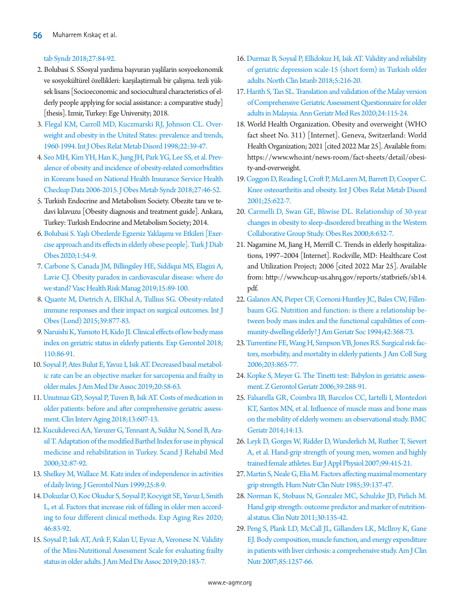# [tab Syndr 2018;27:84-92.](https://doi.org/10.7570/jomes.2018.27.2.84)

- <span id="page-7-0"></span>2. Bolubasi S. SSosyal yardima başvuran yaşlilarin sosyoekonomik ve sosyokültürel özellikleri: karşilaştirmali bir çalişma. tezli yüksek lisans [Socioeconomic and sociocultural characteristics of elderly people applying for social assistance: a comparative study] [thesis]. Izmir, Turkey: Ege University; 2018.
- <span id="page-7-1"></span>3. [Flegal KM, Carroll MD, Kuczmarski RJ, Johnson CL. Over](https://doi.org/10.1038/sj.ijo.0800541)[weight and obesity in the United States: prevalence and trends,](https://doi.org/10.1038/sj.ijo.0800541)  [1960-1994. Int J Obes Relat Metab Disord 1998;22:39-47.](https://doi.org/10.1038/sj.ijo.0800541)
- <span id="page-7-2"></span>[4. Seo MH, Kim YH, Han K, Jung JH, Park YG, Lee SS, et al. Prev](https://www.ncbi.nlm.nih.gov/pubmed/31089540)[alence of obesity and incidence of obesity-related comorbidities](https://www.ncbi.nlm.nih.gov/pubmed/31089540)  [in Koreans based on National Health Insurance Service Health](https://www.ncbi.nlm.nih.gov/pubmed/31089540)  [Checkup Data 2006-2015. J Obes Metab Synd](https://www.ncbi.nlm.nih.gov/pubmed/31089540)r 2018;27:46-52.
- <span id="page-7-3"></span>5. Turkish Endocrine and Metabolism Society. Obezite tanı ve tedavi kılavuzu [Obesity diagnosis and treatment guide]. Ankara, Turkey: Turkish Endocrine and Metabolism Society; 2014.
- <span id="page-7-4"></span>[6. Bolubasi S. Yaşlı Obezlerde Egzersiz Yaklaşımı ve Etkileri \[E](https://doi.org/10.25048/tudod.689751)xercise approach and its effects in elderly obese people]. Turk J Diab Obes 2020;1:54-9.
- <span id="page-7-5"></span>[7. Carbone S, Canada JM, Billingsley HE, Siddiqui MS, Elagizi A,](https://doi.org/10.2147/vhrm.s168946)  [Lavie CJ. Obesity paradox in cardiovascular disease: where do](https://doi.org/10.2147/vhrm.s168946)  [we stand? Vasc Health Risk Manag 2019;15:89-100.](https://doi.org/10.2147/vhrm.s168946)
- 8. [Quante M, Dietrich A, ElKhal A, Tullius SG. Obesity-related](https://doi.org/10.1038/ijo.2015.21)  [immune responses and their impact on surgical outcomes. Int J](https://doi.org/10.1038/ijo.2015.21)  [Obes \(Lond\) 2015;39:877-83.](https://doi.org/10.1038/ijo.2015.21)
- <span id="page-7-6"></span>[9. Naruishi K, Yumoto H, Kido JI. Clinical effects of low body mass](https://doi.org/10.1016/j.exger.2018.05.017)  [index on geriatric status in elderly patients. Exp Gerontol 2018;](https://doi.org/10.1016/j.exger.2018.05.017) [110:86-91.](https://doi.org/10.1016/j.exger.2018.05.017)
- <span id="page-7-7"></span>1[0. Soysal P, Ates Bulut E, Yavuz I, Isik AT. Decreased basal metabol](https://doi.org/10.1016/j.jamda.2018.07.001)[ic rate can be an objective marker for sarcopenia and frailty in](https://doi.org/10.1016/j.jamda.2018.07.001)  [older males. J Am Med Dir Assoc 2019;20:58-63.](https://doi.org/10.1016/j.jamda.2018.07.001)
- 11. [Unutmaz GD, Soysal P, Tuven B, Isik AT. Costs of medication in](https://doi.org/10.2147/cia.s159966)  [older patients: before and after comprehensive geriatric assess](https://doi.org/10.2147/cia.s159966)[ment. Clin Interv Aging 2018;13:607-13.](https://doi.org/10.2147/cia.s159966)
- 12. [Kucukdeveci AA, Yavuzer G, Tennant A, Suldur N, Sonel B, Ara](https://doi.org/10.1080/003655000750045604)[sil T. Adaptation of the modified Barthel Index for use in physical](https://doi.org/10.1080/003655000750045604)  [medicine and rehabilitation in Turkey. Scand J Rehabil Med](https://doi.org/10.1080/003655000750045604)  [2000;32:87-92.](https://doi.org/10.1080/003655000750045604)
- 1[3. Shelkey M, Wallace M. Katz index of independence in activities](https://doi.org/10.3928/0098-9134-19990301-05)  [of daily living. J Gerontol Nurs 1999;25:8-9](https://doi.org/10.3928/0098-9134-19990301-05).
- 14. [Dokuzlar O, Koc Okudur S, Soysal P, Kocyigit SE, Yavuz I, Smith](https://doi.org/10.1080/0361073x.2019.1669284)  [L, et al. Factors that increase risk of falling in older men accord](https://doi.org/10.1080/0361073x.2019.1669284)[ing to four different clinical methods. Exp Aging Res 2020;](https://doi.org/10.1080/0361073x.2019.1669284) [46:83-92.](https://doi.org/10.1080/0361073x.2019.1669284)
- 15. [Soysal P, Isik AT, Arik F, Kalan U, Eyvaz A, Veronese N. Validity](https://doi.org/10.1016/j.jamda.2018.07.016)  [of the Mini-Nutritional Assessment Scale for evaluating frailty](https://doi.org/10.1016/j.jamda.2018.07.016)  [status in older adults. J Am Med Dir Assoc 2019;20:183-7.](https://doi.org/10.1016/j.jamda.2018.07.016)
- 16. [Durmaz B, Soysal P, Ellidokuz H, Isik AT. Validity and reliability](https://www.ncbi.nlm.nih.gov/pubmed/30688929)  [of geriatric depression scale-15 \(short form\) in Turkish older](https://www.ncbi.nlm.nih.gov/pubmed/30688929)  [adults. North Clin Istanb 2018;5:216-20.](https://www.ncbi.nlm.nih.gov/pubmed/30688929)
- <span id="page-7-8"></span>17[. Harith S, Tan SL. Translation and validation of the Malay version](https://doi.org/10.4235/agmr.20.0005)  [of Comprehensive Geriatric Assessment Questionnaire for older](https://doi.org/10.4235/agmr.20.0005)  [adults in Malaysia. Ann Geriatr Med Res 2020;24:115-24](https://doi.org/10.4235/agmr.20.0005).
- <span id="page-7-9"></span>18. World Health Organization. Obesity and overweight (WHO fact sheet No. 311) [Internet]. Geneva, Switzerland: World Health Organization; 2021 [cited 2022 Mar 25]. Available from: [https://www.who.int/news-room/fact-sheets/detail/obesi](https://www.who.int/news-room/fact-sheets/detail/obesity-and-overweight)[ty-and-overweight](https://www.who.int/news-room/fact-sheets/detail/obesity-and-overweight).
- <span id="page-7-10"></span>19[. Coggon D, Reading I, Croft P, McLaren M, Barrett D, Cooper C.](https://doi.org/10.1038/sj.ijo.0801585)  [Knee osteoarthritis and obesity. Int J Obes Relat Metab Disord](https://doi.org/10.1038/sj.ijo.0801585)  [2001;25:622-7.](https://doi.org/10.1038/sj.ijo.0801585)
- 20. [Carmelli D, Swan GE, Bliwise DL. Relationship of 30-year](https://doi.org/10.1038/oby.2000.81)  [changes in obesity to sleep-disordered breathing in the Western](https://doi.org/10.1038/oby.2000.81)  [Collaborative Group Study. Obes Res 2000;8:632-7.](https://doi.org/10.1038/oby.2000.81)
- <span id="page-7-11"></span>21. Nagamine M, Jiang H, Merrill C. Trends in elderly hospitalizations, 1997–2004 [Internet]. Rockville, MD: Healthcare Cost and Utilization Project; 2006 [cited 2022 Mar 25]. Available from: [http://www.hcup-us.ahrq.gov/reports/statbriefs/sb14.](http://www.hcup-us.ahrq.gov/reports/statbriefs/sb14.pdf) [pdf.](http://www.hcup-us.ahrq.gov/reports/statbriefs/sb14.pdf)
- <span id="page-7-12"></span>22. [Galanos AN, Pieper CF, Cornoni-Huntley JC, Bales CW, Fillen](https://doi.org/10.1111/j.1532-5415.1994.tb07483.x)[baum GG. Nutrition and function: is there a relationship be](https://doi.org/10.1111/j.1532-5415.1994.tb07483.x)[tween body mass index and the functional capabilities of com](https://doi.org/10.1111/j.1532-5415.1994.tb07483.x)[munity-dwelling elderly? J Am Geriatr Soc](https://doi.org/10.1111/j.1532-5415.1994.tb07483.x) 1994;42:368-73.
- <span id="page-7-13"></span>23. [Turrentine FE, Wang H, Simpson VB, Jones RS. Surgical risk fac](https://doi.org/10.1016/j.jamcollsurg.2006.08.026)[tors, morbidity, and mortality in elderly patients. J Am Coll Surg](https://doi.org/10.1016/j.jamcollsurg.2006.08.026)  [2006;203:865-77.](https://doi.org/10.1016/j.jamcollsurg.2006.08.026)
- <span id="page-7-14"></span>24. [Kopke S, Meyer G. The Tinetti test: Babylon in geriatric assess](https://doi.org/10.1007/s00391-006-0398-y)[ment. Z Gerontol Geriatr 2006;39:288-91.](https://doi.org/10.1007/s00391-006-0398-y)
- <span id="page-7-15"></span>25[. Falsarella GR, Coimbra IB, Barcelos CC, Iartelli I, Montedori](https://doi.org/10.1186/1471-2318-14-13)  [KT, Santos MN, et al. Influence of muscle mass and bone mass](https://doi.org/10.1186/1471-2318-14-13)  [on the mobility of elderly women: an observational study. BMC](https://doi.org/10.1186/1471-2318-14-13)  [Geriatr 2014;14:13.](https://doi.org/10.1186/1471-2318-14-13)
- <span id="page-7-16"></span>26[. Leyk D, Gorges W, Ridder D, Wunderlich M, Ruther T, Sievert](https://doi.org/10.1007/s00421-006-0351-1)  [A, et al. Hand-grip strength of young men, women and highly](https://doi.org/10.1007/s00421-006-0351-1)  [trained female athletes. Eur J Appl Physiol 2007;99:415-21.](https://doi.org/10.1007/s00421-006-0351-1)
- <span id="page-7-17"></span>2[7. Martin S, Neale G, Elia M. Factors affecting maximal momentary](https://www.ncbi.nlm.nih.gov/pubmed/3926728)  [grip strength. Hum Nutr Clin Nutr 1985;39:137-47](https://www.ncbi.nlm.nih.gov/pubmed/3926728).
- <span id="page-7-18"></span>28[. Norman K, Stobaus N, Gonzalez MC, Schulzke JD, Pirlich M.](https://doi.org/10.1016/j.clnu.2010.09.010)  [Hand grip strength: outcome predictor and marker of nutrition](https://doi.org/10.1016/j.clnu.2010.09.010)[al status. Clin Nutr 2011;30:135-42](https://doi.org/10.1016/j.clnu.2010.09.010).
- <span id="page-7-19"></span>29[. Peng S, Plank LD, McCall JL, Gillanders LK, McIlroy K, Gane](https://doi.org/10.1093/ajcn/85.5.1257)  [EJ. Body composition, muscle function, and energy expenditure](https://doi.org/10.1093/ajcn/85.5.1257)  [in patients with liver cirrhosis: a comprehensive study. Am J Clin](https://doi.org/10.1093/ajcn/85.5.1257)  [Nutr 2007;85:1257-66.](https://doi.org/10.1093/ajcn/85.5.1257)